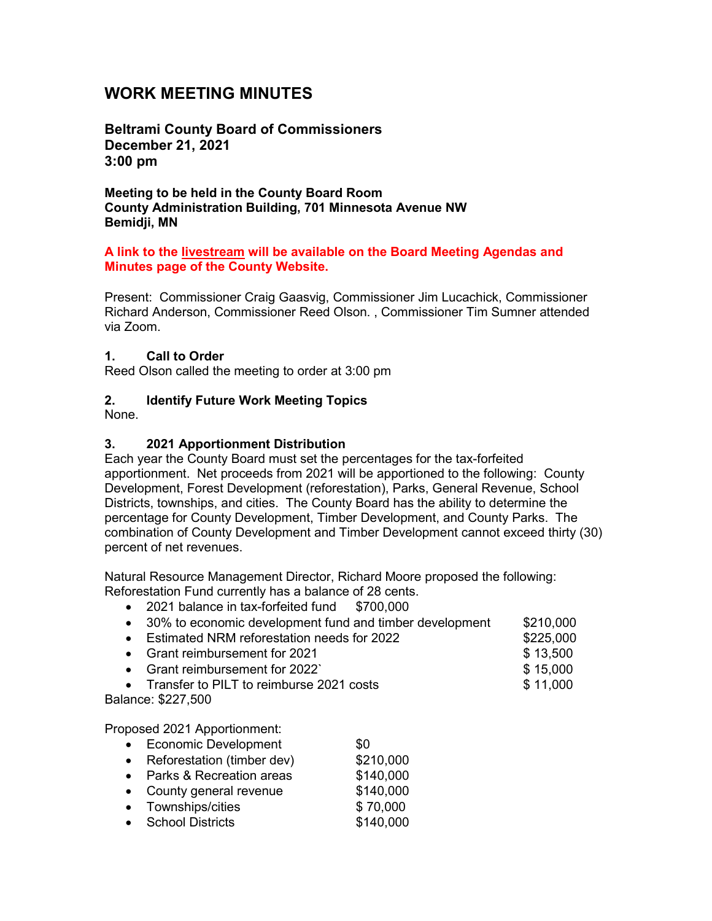# **WORK MEETING MINUTES**

**Beltrami County Board of Commissioners December 21, 2021 3:00 pm**

**Meeting to be held in the County Board Room County Administration Building, 701 Minnesota Avenue NW Bemidji, MN**

#### **A link to the livestream will be available on the Board Meeting Agendas and Minutes page of the County Website.**

Present: Commissioner Craig Gaasvig, Commissioner Jim Lucachick, Commissioner Richard Anderson, Commissioner Reed Olson. , Commissioner Tim Sumner attended via Zoom.

#### **1. Call to Order**

Reed Olson called the meeting to order at 3:00 pm

### **2. Identify Future Work Meeting Topics**

None.

#### **3. 2021 Apportionment Distribution**

Each year the County Board must set the percentages for the tax-forfeited apportionment. Net proceeds from 2021 will be apportioned to the following: County Development, Forest Development (reforestation), Parks, General Revenue, School Districts, townships, and cities. The County Board has the ability to determine the percentage for County Development, Timber Development, and County Parks. The combination of County Development and Timber Development cannot exceed thirty (30) percent of net revenues.

Natural Resource Management Director, Richard Moore proposed the following: Reforestation Fund currently has a balance of 28 cents.

- 2021 balance in tax-forfeited fund \$700,000
- 30% to economic development fund and timber development \$210,000
- Estimated NRM reforestation needs for 2022 **\$225,000** • Grant reimbursement for 2021 **\$** 13,500
- Grant reimbursement for 2022` \$ 15,000
- Transfer to PILT to reimburse 2021 costs  $$11,000$

Balance: \$227,500

Proposed 2021 Apportionment:

- Economic Development \$0
- Reforestation (timber dev) \$210,000
- Parks & Recreation areas \$140,000
- County general revenue  $$140,000$
- Townships/cities \$70,000
- School Districts \$140,000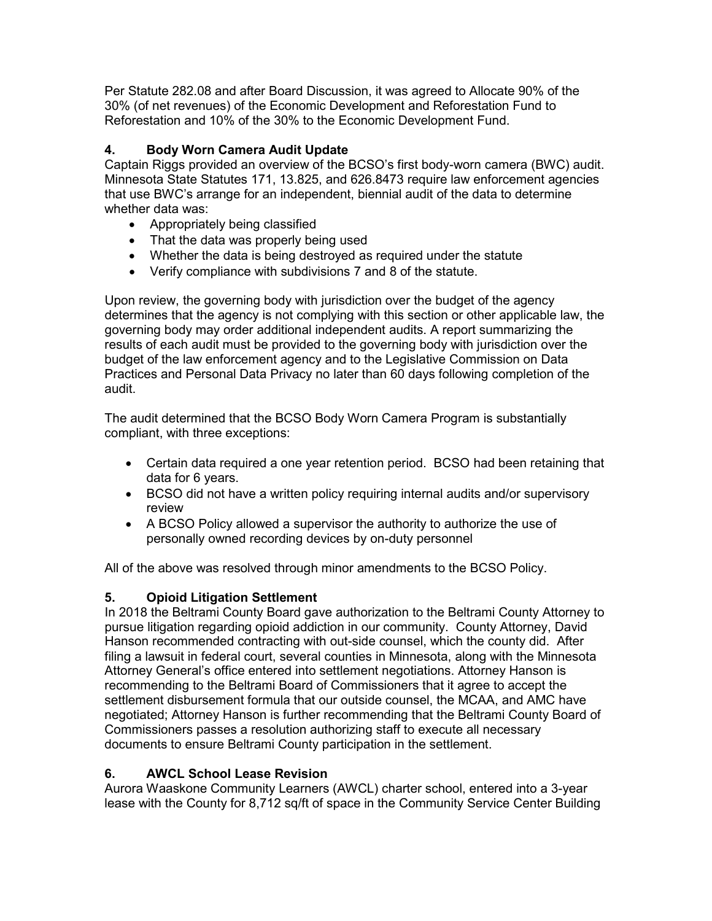Per Statute 282.08 and after Board Discussion, it was agreed to Allocate 90% of the 30% (of net revenues) of the Economic Development and Reforestation Fund to Reforestation and 10% of the 30% to the Economic Development Fund.

# **4. Body Worn Camera Audit Update**

Captain Riggs provided an overview of the BCSO's first body-worn camera (BWC) audit. Minnesota State Statutes 171, 13.825, and 626.8473 require law enforcement agencies that use BWC's arrange for an independent, biennial audit of the data to determine whether data was:

- Appropriately being classified
- That the data was properly being used
- Whether the data is being destroyed as required under the statute
- Verify compliance with subdivisions 7 and 8 of the statute.

Upon review, the governing body with jurisdiction over the budget of the agency determines that the agency is not complying with this section or other applicable law, the governing body may order additional independent audits. A report summarizing the results of each audit must be provided to the governing body with jurisdiction over the budget of the law enforcement agency and to the Legislative Commission on Data Practices and Personal Data Privacy no later than 60 days following completion of the audit.

The audit determined that the BCSO Body Worn Camera Program is substantially compliant, with three exceptions:

- Certain data required a one year retention period. BCSO had been retaining that data for 6 years.
- BCSO did not have a written policy requiring internal audits and/or supervisory review
- A BCSO Policy allowed a supervisor the authority to authorize the use of personally owned recording devices by on-duty personnel

All of the above was resolved through minor amendments to the BCSO Policy.

# **5. Opioid Litigation Settlement**

In 2018 the Beltrami County Board gave authorization to the Beltrami County Attorney to pursue litigation regarding opioid addiction in our community. County Attorney, David Hanson recommended contracting with out-side counsel, which the county did. After filing a lawsuit in federal court, several counties in Minnesota, along with the Minnesota Attorney General's office entered into settlement negotiations. Attorney Hanson is recommending to the Beltrami Board of Commissioners that it agree to accept the settlement disbursement formula that our outside counsel, the MCAA, and AMC have negotiated; Attorney Hanson is further recommending that the Beltrami County Board of Commissioners passes a resolution authorizing staff to execute all necessary documents to ensure Beltrami County participation in the settlement.

# **6. AWCL School Lease Revision**

Aurora Waaskone Community Learners (AWCL) charter school, entered into a 3-year lease with the County for 8,712 sq/ft of space in the Community Service Center Building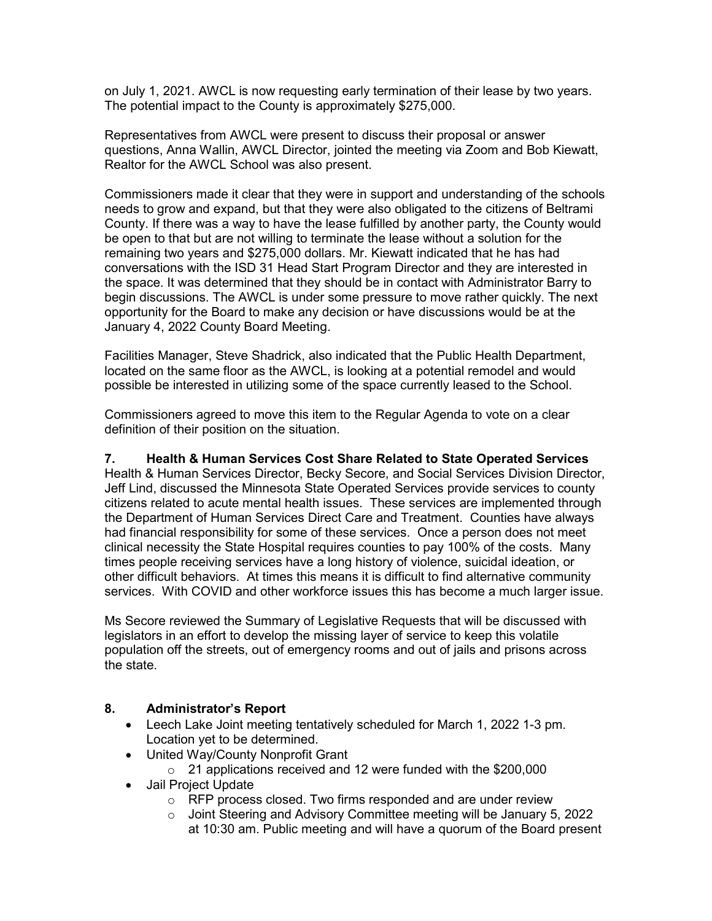on July 1, 2021. AWCL is now requesting early termination of their lease by two years. The potential impact to the County is approximately \$275,000.

Representatives from AWCL were present to discuss their proposal or answer questions, Anna Wallin, AWCL Director, jointed the meeting via Zoom and Bob Kiewatt, Realtor for the AWCL School was also present.

Commissioners made it clear that they were in support and understanding of the schools needs to grow and expand, but that they were also obligated to the citizens of Beltrami County. If there was a way to have the lease fulfilled by another party, the County would be open to that but are not willing to terminate the lease without a solution for the remaining two years and \$275,000 dollars. Mr. Kiewatt indicated that he has had conversations with the ISD 31 Head Start Program Director and they are interested in the space. It was determined that they should be in contact with Administrator Barry to begin discussions. The AWCL is under some pressure to move rather quickly. The next opportunity for the Board to make any decision or have discussions would be at the January 4, 2022 County Board Meeting.

Facilities Manager, Steve Shadrick, also indicated that the Public Health Department, located on the same floor as the AWCL, is looking at a potential remodel and would possible be interested in utilizing some of the space currently leased to the School.

Commissioners agreed to move this item to the Regular Agenda to vote on a clear definition of their position on the situation.

### **7. Health & Human Services Cost Share Related to State Operated Services**

Health & Human Services Director, Becky Secore, and Social Services Division Director, Jeff Lind, discussed the Minnesota State Operated Services provide services to county citizens related to acute mental health issues. These services are implemented through the Department of Human Services Direct Care and Treatment. Counties have always had financial responsibility for some of these services. Once a person does not meet clinical necessity the State Hospital requires counties to pay 100% of the costs. Many times people receiving services have a long history of violence, suicidal ideation, or other difficult behaviors. At times this means it is difficult to find alternative community services. With COVID and other workforce issues this has become a much larger issue.

Ms Secore reviewed the Summary of Legislative Requests that will be discussed with legislators in an effort to develop the missing layer of service to keep this volatile population off the streets, out of emergency rooms and out of jails and prisons across the state.

### **8. Administrator's Report**

- Leech Lake Joint meeting tentatively scheduled for March 1, 2022 1-3 pm. Location yet to be determined.
- United Way/County Nonprofit Grant
	- $\circ$  21 applications received and 12 were funded with the \$200,000
- Jail Project Update
	- o RFP process closed. Two firms responded and are under review
	- o Joint Steering and Advisory Committee meeting will be January 5, 2022 at 10:30 am. Public meeting and will have a quorum of the Board present